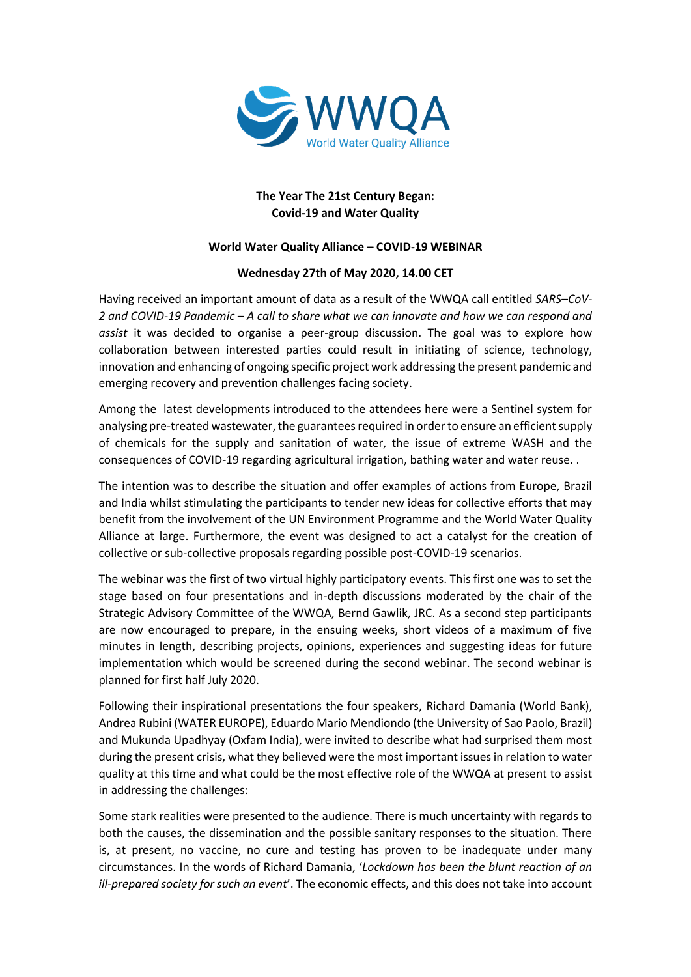

## **The Year The 21st Century Began: Covid-19 and Water Quality**

## **World Water Quality Alliance – COVID-19 WEBINAR**

## **Wednesday 27th of May 2020, 14.00 CET**

Having received an important amount of data as a result of the WWQA call entitled *SARS–CoV-2 and COVID-19 Pandemic – A call to share what we can innovate and how we can respond and assist* it was decided to organise a peer-group discussion. The goal was to explore how collaboration between interested parties could result in initiating of science, technology, innovation and enhancing of ongoing specific project work addressing the present pandemic and emerging recovery and prevention challenges facing society.

Among the latest developments introduced to the attendees here were a Sentinel system for analysing pre-treated wastewater, the guarantees required in order to ensure an efficient supply of chemicals for the supply and sanitation of water, the issue of extreme WASH and the consequences of COVID-19 regarding agricultural irrigation, bathing water and water reuse. .

The intention was to describe the situation and offer examples of actions from Europe, Brazil and India whilst stimulating the participants to tender new ideas for collective efforts that may benefit from the involvement of the UN Environment Programme and the World Water Quality Alliance at large. Furthermore, the event was designed to act a catalyst for the creation of collective or sub-collective proposals regarding possible post-COVID-19 scenarios.

The webinar was the first of two virtual highly participatory events. This first one was to set the stage based on four presentations and in-depth discussions moderated by the chair of the Strategic Advisory Committee of the WWQA, Bernd Gawlik, JRC. As a second step participants are now encouraged to prepare, in the ensuing weeks, short videos of a maximum of five minutes in length, describing projects, opinions, experiences and suggesting ideas for future implementation which would be screened during the second webinar. The second webinar is planned for first half July 2020.

Following their inspirational presentations the four speakers, Richard Damania (World Bank), Andrea Rubini (WATER EUROPE), Eduardo Mario Mendiondo (the University of Sao Paolo, Brazil) and Mukunda Upadhyay (Oxfam India), were invited to describe what had surprised them most during the present crisis, what they believed were the most important issues in relation to water quality at this time and what could be the most effective role of the WWQA at present to assist in addressing the challenges:

Some stark realities were presented to the audience. There is much uncertainty with regards to both the causes, the dissemination and the possible sanitary responses to the situation. There is, at present, no vaccine, no cure and testing has proven to be inadequate under many circumstances. In the words of Richard Damania, '*Lockdown has been the blunt reaction of an ill-prepared society for such an event*'. The economic effects, and this does not take into account